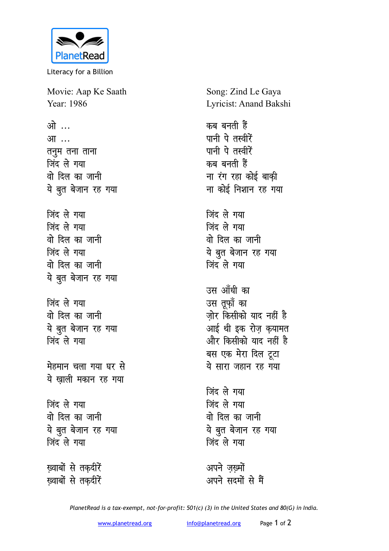

Literacy for a Billion

Movie: Aap Ke Saath Year: 1986

ओ … आ ... तनुम तना ताना जिंद ले गया वो दिल का जानी ये बुत बेजान रह गया जिंद ले गया जिंद ले गया वो दिल का जानी जिंद ले गया वो दिल का जानी ये बुत बेजान रह गया

जिंद ले गया वो दिल का जानी ये बूत बेजान रह गया जिंद ले गया

मेहमान चला गया घर से ये ख़ाली मकान रह गया

जिंद ले गया वो दिल का जानी ये बुत बेजान रह गया जिंद ले गया

ख्वाबों से तकदीरें ख़्वाबों से तक़दीरें Song: Zind Le Gaya Lyricist: Anand Bakshi

कब बनती हैं पानी पे तस्वीरें पानी पे तस्वीरें कब बनती हैं ना रंग रहा कोई बाक़ी ना कोई निशान रह गया

जिंद ले गया जिंद ले गया वो दिल का जानी ये बुत बेजान रह गया जिंद ले गया

उस आँधी का उस तूफ़ॉ का जोर किसीको याद नहीं है ्<br>आई थी इक रोज़ क़यामत और किसीको याद नहीं है बस एक मेरा दिल टूटा ये सारा जहान रह गया

जिंद ले गया जिंद ले गया वो दिल का जानी ये बुत बेजान रह गया जिंद ले गया

अपने जख्मों अपने सदमों से मैं

PlanetRead is a tax-exempt, not-for-profit: 501(c) (3) in the United States and 80(G) in India.